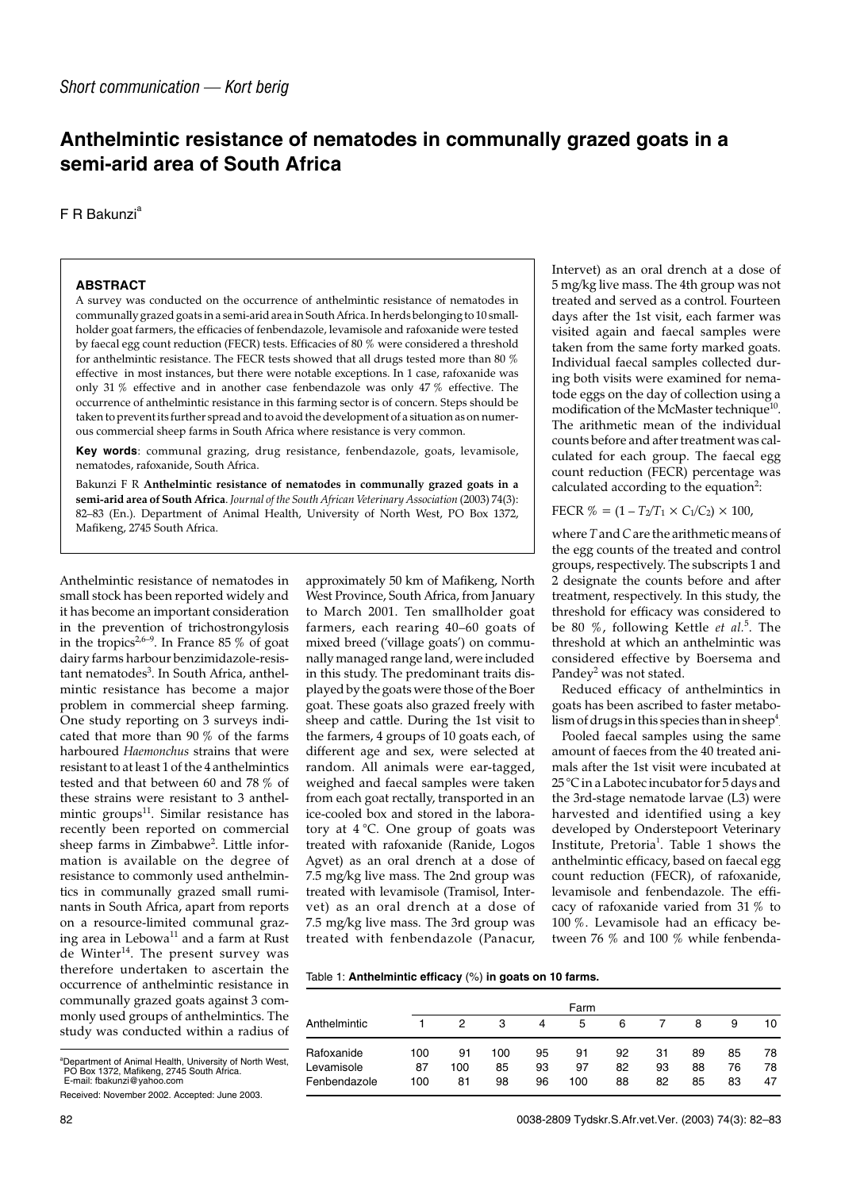## **Anthelmintic resistance of nematodes in communally grazed goats in a semi-arid area of South Africa**

F R Bakunzi<sup>a</sup>

## **ABSTRACT**

A survey was conducted on the occurrence of anthelmintic resistance of nematodes in communally grazed goats in a semi-arid area in South Africa. In herds belonging to 10 smallholder goat farmers, the efficacies of fenbendazole, levamisole and rafoxanide were tested by faecal egg count reduction (FECR) tests. Efficacies of 80 % were considered a threshold for anthelmintic resistance. The FECR tests showed that all drugs tested more than 80 % effective in most instances, but there were notable exceptions. In 1 case, rafoxanide was only 31 % effective and in another case fenbendazole was only 47 % effective. The occurrence of anthelmintic resistance in this farming sector is of concern. Steps should be taken to prevent its further spread and to avoid the development of a situation as on numerous commercial sheep farms in South Africa where resistance is very common.

**Key words**: communal grazing, drug resistance, fenbendazole, goats, levamisole, nematodes, rafoxanide, South Africa.

Bakunzi F R **Anthelmintic resistance of nematodes in communally grazed goats in a semi-arid area of South Africa**. *Journal of the South African Veterinary Association* (2003) 74(3): 82–83 (En.). Department of Animal Health, University of North West, PO Box 1372, Mafikeng, 2745 South Africa.

Anthelmintic resistance of nematodes in small stock has been reported widely and it has become an important consideration in the prevention of trichostrongylosis in the tropics<sup>2,6–9</sup>. In France 85 % of goat dairy farms harbour benzimidazole-resistant nematodes<sup>3</sup>. In South Africa, anthelmintic resistance has become a major problem in commercial sheep farming. One study reporting on 3 surveys indicated that more than 90 % of the farms harboured *Haemonchus* strains that were resistant to at least 1 of the 4 anthelmintics tested and that between 60 and 78 % of these strains were resistant to 3 anthelmintic groups $11$ . Similar resistance has recently been reported on commercial sheep farms in Zimbabwe<sup>2</sup>. Little information is available on the degree of resistance to commonly used anthelmintics in communally grazed small ruminants in South Africa, apart from reports on a resource-limited communal grazing area in Lebowa<sup>11</sup> and a farm at Rust de Winter14. The present survey was therefore undertaken to ascertain the occurrence of anthelmintic resistance in communally grazed goats against 3 commonly used groups of anthelmintics. The study was conducted within a radius of

a Department of Animal Health, University of North West, PO Box 1372, Mafikeng, 2745 South Africa. E-mail: fbakunzi@yahoo.com

Received: November 2002. Accepted: June 2003.

approximately 50 km of Mafikeng, North West Province, South Africa, from January to March 2001. Ten smallholder goat farmers, each rearing 40–60 goats of mixed breed ('village goats') on communally managed range land, were included in this study. The predominant traits displayed by the goats were those of the Boer goat. These goats also grazed freely with sheep and cattle. During the 1st visit to the farmers, 4 groups of 10 goats each, of different age and sex, were selected at random. All animals were ear-tagged, weighed and faecal samples were taken from each goat rectally, transported in an ice-cooled box and stored in the laboratory at 4 °C. One group of goats was treated with rafoxanide (Ranide, Logos Agvet) as an oral drench at a dose of 7.5 mg/kg live mass. The 2nd group was treated with levamisole (Tramisol, Intervet) as an oral drench at a dose of 7.5 mg/kg live mass. The 3rd group was treated with fenbendazole (Panacur, Intervet) as an oral drench at a dose of 5 mg/kg live mass. The 4th group was not treated and served as a control. Fourteen days after the 1st visit, each farmer was visited again and faecal samples were taken from the same forty marked goats. Individual faecal samples collected during both visits were examined for nematode eggs on the day of collection using a modification of the McMaster technique<sup>10</sup>. The arithmetic mean of the individual counts before and after treatment was calculated for each group. The faecal egg count reduction (FECR) percentage was calculated according to the equation<sup>2</sup>:

FECR  $% = (1 - T_2/T_1 \times C_1/C_2) \times 100$ ,

where *T* and*C*are the arithmetic means of the egg counts of the treated and control groups, respectively. The subscripts 1 and 2 designate the counts before and after treatment, respectively. In this study, the threshold for efficacy was considered to be 80 %, following Kettle *et al.*<sup>5</sup> . The threshold at which an anthelmintic was considered effective by Boersema and Pandey<sup>2</sup> was not stated.

Reduced efficacy of anthelmintics in goats has been ascribed to faster metabolism of drugs in this species than in sheep $^4$ 

Pooled faecal samples using the same amount of faeces from the 40 treated animals after the 1st visit were incubated at 25 °C in a Labotec incubator for 5 days and the 3rd-stage nematode larvae (L3) were harvested and identified using a key developed by Onderstepoort Veterinary Institute, Pretoria<sup>1</sup>. Table 1 shows the anthelmintic efficacy, based on faecal egg count reduction (FECR), of rafoxanide, levamisole and fenbendazole. The efficacy of rafoxanide varied from 31 % to 100 %. Levamisole had an efficacy between 76 % and 100 % while fenbenda-

| Table 1: Anthelmintic efficacy (%) in goats on 10 farms. |  |  |  |  |
|----------------------------------------------------------|--|--|--|--|
|----------------------------------------------------------|--|--|--|--|

|                                          | Farm             |                 |                 |                |                 |                |                |                |                |                |
|------------------------------------------|------------------|-----------------|-----------------|----------------|-----------------|----------------|----------------|----------------|----------------|----------------|
| Anthelmintic                             |                  | 2               | 3               | 4              | 5               | 6              |                | 8              | 9              | 10             |
| Rafoxanide<br>Levamisole<br>Fenbendazole | 100<br>87<br>100 | 91<br>100<br>81 | 100<br>85<br>98 | 95<br>93<br>96 | 91<br>97<br>100 | 92<br>82<br>88 | 31<br>93<br>82 | 89<br>88<br>85 | 85<br>76<br>83 | 78<br>78<br>47 |